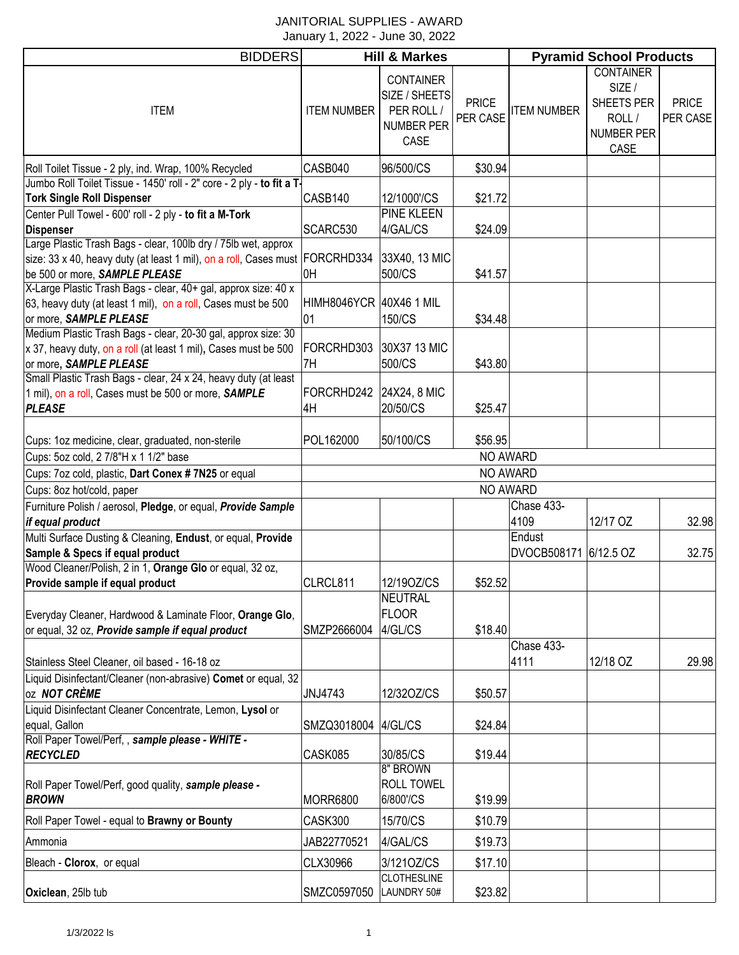#### JANITORIAL SUPPLIES - AWARD January 1, 2022 - June 30, 2022

| <b>BIDDERS</b>                                                                                                                                                                                                             | <b>Hill &amp; Markes</b>      |                                                                              |                          | <b>Pyramid School Products</b> |                                                                         |                          |  |
|----------------------------------------------------------------------------------------------------------------------------------------------------------------------------------------------------------------------------|-------------------------------|------------------------------------------------------------------------------|--------------------------|--------------------------------|-------------------------------------------------------------------------|--------------------------|--|
| <b>ITEM</b>                                                                                                                                                                                                                | <b>ITEM NUMBER</b>            | <b>CONTAINER</b><br>SIZE / SHEETS<br>PER ROLL /<br><b>NUMBER PER</b><br>CASE | <b>PRICE</b><br>PER CASE | <b>ITEM NUMBER</b>             | <b>CONTAINER</b><br>SIZE /<br>SHEETS PER<br>ROLL/<br>NUMBER PER<br>CASE | <b>PRICE</b><br>PER CASE |  |
| Roll Toilet Tissue - 2 ply, ind. Wrap, 100% Recycled                                                                                                                                                                       | CASB040                       | 96/500/CS                                                                    | \$30.94                  |                                |                                                                         |                          |  |
| Jumbo Roll Toilet Tissue - 1450' roll - 2" core - 2 ply - to fit a T                                                                                                                                                       |                               |                                                                              |                          |                                |                                                                         |                          |  |
| <b>Tork Single Roll Dispenser</b>                                                                                                                                                                                          | CASB140                       | 12/1000'/CS                                                                  | \$21.72                  |                                |                                                                         |                          |  |
| Center Pull Towel - 600' roll - 2 ply - to fit a M-Tork                                                                                                                                                                    |                               | <b>PINE KLEEN</b>                                                            |                          |                                |                                                                         |                          |  |
| <b>Dispenser</b><br>Large Plastic Trash Bags - clear, 100lb dry / 75lb wet, approx                                                                                                                                         | SCARC530                      | 4/GAL/CS                                                                     | \$24.09                  |                                |                                                                         |                          |  |
| size: 33 x 40, heavy duty (at least 1 mil), on a roll, Cases must FORCRHD334<br>be 500 or more, SAMPLE PLEASE                                                                                                              | 0H                            | 33X40, 13 MIC<br>500/CS                                                      | \$41.57                  |                                |                                                                         |                          |  |
| X-Large Plastic Trash Bags - clear, 40+ gal, approx size: 40 x<br>63, heavy duty (at least 1 mil), on a roll, Cases must be 500<br>or more, SAMPLE PLEASE<br>Medium Plastic Trash Bags - clear, 20-30 gal, approx size: 30 | HIMH8046YCR 40X46 1 MIL<br>01 | 150/CS                                                                       | \$34.48                  |                                |                                                                         |                          |  |
| x 37, heavy duty, on a roll (at least 1 mil), Cases must be 500<br>or more, SAMPLE PLEASE                                                                                                                                  | FORCRHD303<br>7H              | 30X37 13 MIC<br>500/CS                                                       | \$43.80                  |                                |                                                                         |                          |  |
| Small Plastic Trash Bags - clear, 24 x 24, heavy duty (at least<br>1 mil), on a roll, Cases must be 500 or more, SAMPLE<br><b>PLEASE</b>                                                                                   | FORCRHD242<br>4H              | 24X24, 8 MIC<br>20/50/CS                                                     | \$25.47                  |                                |                                                                         |                          |  |
|                                                                                                                                                                                                                            |                               |                                                                              |                          |                                |                                                                         |                          |  |
| Cups: 1oz medicine, clear, graduated, non-sterile                                                                                                                                                                          | POL162000                     | 50/100/CS                                                                    | \$56.95                  |                                |                                                                         |                          |  |
| Cups: 5oz cold, 2 7/8"H x 1 1/2" base<br>Cups: 7oz cold, plastic, Dart Conex # 7N25 or equal                                                                                                                               |                               |                                                                              |                          | NO AWARD<br>NO AWARD           |                                                                         |                          |  |
| Cups: 8oz hot/cold, paper                                                                                                                                                                                                  |                               |                                                                              |                          | NO AWARD                       |                                                                         |                          |  |
| Furniture Polish / aerosol, Pledge, or equal, Provide Sample                                                                                                                                                               |                               |                                                                              |                          | Chase 433-                     |                                                                         |                          |  |
| if equal product                                                                                                                                                                                                           |                               |                                                                              |                          | 4109                           | 12/17 OZ                                                                | 32.98                    |  |
| Multi Surface Dusting & Cleaning, Endust, or equal, Provide                                                                                                                                                                |                               |                                                                              |                          | Endust                         |                                                                         |                          |  |
| Sample & Specs if equal product                                                                                                                                                                                            |                               |                                                                              |                          | DVOCB508171 6/12.5 OZ          |                                                                         | 32.75                    |  |
| Wood Cleaner/Polish, 2 in 1, Orange Glo or equal, 32 oz,                                                                                                                                                                   |                               |                                                                              |                          |                                |                                                                         |                          |  |
| Provide sample if equal product                                                                                                                                                                                            | CLRCL811                      | 12/19OZ/CS                                                                   | \$52.52                  |                                |                                                                         |                          |  |
| Everyday Cleaner, Hardwood & Laminate Floor, Orange Glo,<br>or equal, 32 oz, <b>Provide sample if equal product</b>                                                                                                        | SMZP2666004                   | <b>NEUTRAL</b><br><b>FLOOR</b><br>4/GL/CS                                    | \$18.40                  |                                |                                                                         |                          |  |
|                                                                                                                                                                                                                            |                               |                                                                              |                          | Chase 433-                     |                                                                         |                          |  |
| Stainless Steel Cleaner, oil based - 16-18 oz                                                                                                                                                                              |                               |                                                                              |                          | 4111                           | 12/18 OZ                                                                | 29.98                    |  |
| Liquid Disinfectant/Cleaner (non-abrasive) Comet or equal, 32<br>OZ NOT CRÈME                                                                                                                                              | JNJ4743                       | 12/320Z/CS                                                                   | \$50.57                  |                                |                                                                         |                          |  |
| Liquid Disinfectant Cleaner Concentrate, Lemon, Lysol or<br>equal, Gallon                                                                                                                                                  | SMZQ3018004 4/GL/CS           |                                                                              | \$24.84                  |                                |                                                                         |                          |  |
| Roll Paper Towel/Perf,, sample please - WHITE -<br><b>RECYCLED</b>                                                                                                                                                         | CASK085                       | 30/85/CS                                                                     | \$19.44                  |                                |                                                                         |                          |  |
| Roll Paper Towel/Perf, good quality, sample please -<br><b>BROWN</b>                                                                                                                                                       | <b>MORR6800</b>               | 8" BROWN<br><b>ROLL TOWEL</b><br>6/800'/CS                                   | \$19.99                  |                                |                                                                         |                          |  |
| Roll Paper Towel - equal to Brawny or Bounty                                                                                                                                                                               | CASK300                       | 15/70/CS                                                                     | \$10.79                  |                                |                                                                         |                          |  |
| Ammonia                                                                                                                                                                                                                    | JAB22770521                   | 4/GAL/CS                                                                     | \$19.73                  |                                |                                                                         |                          |  |
| Bleach - Clorox, or equal                                                                                                                                                                                                  | CLX30966                      | 3/1210Z/CS                                                                   | \$17.10                  |                                |                                                                         |                          |  |
| Oxiclean, 25lb tub                                                                                                                                                                                                         | SMZC0597050                   | <b>CLOTHESLINE</b><br>LAUNDRY 50#                                            | \$23.82                  |                                |                                                                         |                          |  |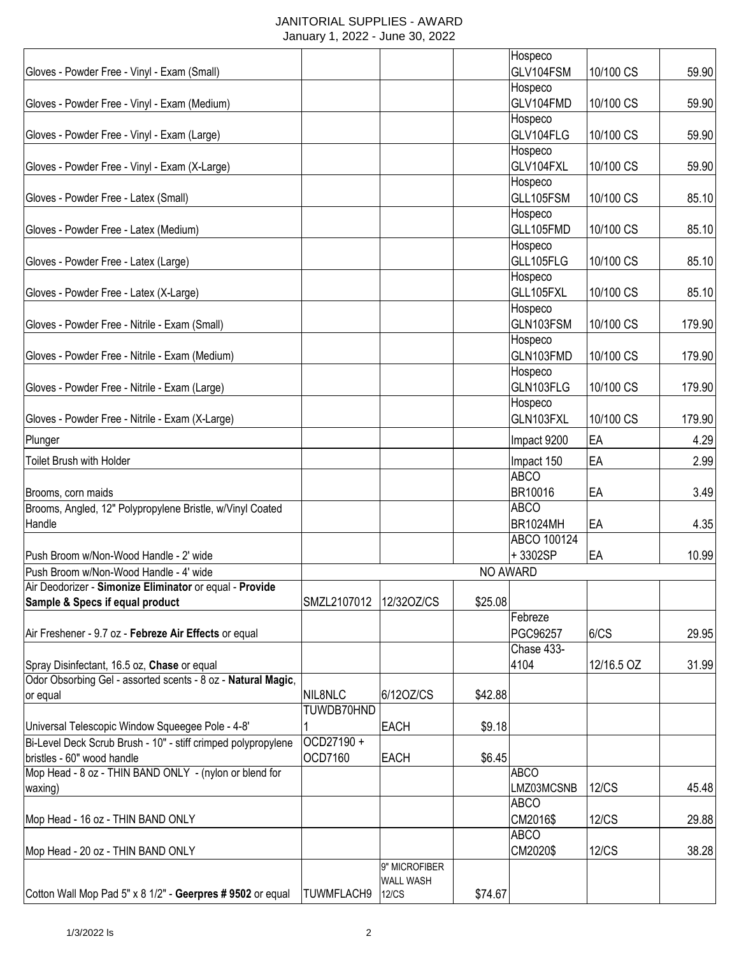#### JANITORIAL SUPPLIES - AWARD January 1, 2022 - June 30, 2022

|                                                               |                   |                  |          | Hospeco         |              |        |
|---------------------------------------------------------------|-------------------|------------------|----------|-----------------|--------------|--------|
| Gloves - Powder Free - Vinyl - Exam (Small)                   |                   |                  |          | GLV104FSM       | 10/100 CS    | 59.90  |
|                                                               |                   |                  |          | Hospeco         |              |        |
| Gloves - Powder Free - Vinyl - Exam (Medium)                  |                   |                  |          | GLV104FMD       | 10/100 CS    | 59.90  |
|                                                               |                   |                  |          | Hospeco         |              |        |
|                                                               |                   |                  |          | GLV104FLG       | 10/100 CS    | 59.90  |
| Gloves - Powder Free - Vinyl - Exam (Large)                   |                   |                  |          |                 |              |        |
|                                                               |                   |                  |          | Hospeco         |              |        |
| Gloves - Powder Free - Vinyl - Exam (X-Large)                 |                   |                  |          | GLV104FXL       | 10/100 CS    | 59.90  |
|                                                               |                   |                  |          | Hospeco         |              |        |
| Gloves - Powder Free - Latex (Small)                          |                   |                  |          | GLL105FSM       | 10/100 CS    | 85.10  |
|                                                               |                   |                  |          | Hospeco         |              |        |
| Gloves - Powder Free - Latex (Medium)                         |                   |                  |          | GLL105FMD       | 10/100 CS    | 85.10  |
|                                                               |                   |                  |          | Hospeco         |              |        |
| Gloves - Powder Free - Latex (Large)                          |                   |                  |          | GLL105FLG       | 10/100 CS    | 85.10  |
|                                                               |                   |                  |          | Hospeco         |              |        |
| Gloves - Powder Free - Latex (X-Large)                        |                   |                  |          | GLL105FXL       | 10/100 CS    | 85.10  |
|                                                               |                   |                  |          | Hospeco         |              |        |
| Gloves - Powder Free - Nitrile - Exam (Small)                 |                   |                  |          | GLN103FSM       | 10/100 CS    | 179.90 |
|                                                               |                   |                  |          | Hospeco         |              |        |
| Gloves - Powder Free - Nitrile - Exam (Medium)                |                   |                  |          | GLN103FMD       | 10/100 CS    | 179.90 |
|                                                               |                   |                  |          | Hospeco         |              |        |
| Gloves - Powder Free - Nitrile - Exam (Large)                 |                   |                  |          | GLN103FLG       | 10/100 CS    | 179.90 |
|                                                               |                   |                  |          |                 |              |        |
|                                                               |                   |                  |          | Hospeco         |              |        |
| Gloves - Powder Free - Nitrile - Exam (X-Large)               |                   |                  |          | GLN103FXL       | 10/100 CS    | 179.90 |
| Plunger                                                       |                   |                  |          | Impact 9200     | EA           | 4.29   |
| Toilet Brush with Holder                                      |                   |                  |          | Impact 150      | EA           | 2.99   |
|                                                               |                   |                  |          | <b>ABCO</b>     |              |        |
|                                                               |                   |                  |          | BR10016         | EA           | 3.49   |
| Brooms, corn maids                                            |                   |                  |          | <b>ABCO</b>     |              |        |
| Brooms, Angled, 12" Polypropylene Bristle, w/Vinyl Coated     |                   |                  |          |                 |              |        |
| Handle                                                        |                   |                  |          | <b>BR1024MH</b> | EA           | 4.35   |
|                                                               |                   |                  |          | ABCO 100124     |              |        |
| Push Broom w/Non-Wood Handle - 2' wide                        |                   |                  |          | +3302SP         | EA           | 10.99  |
| Push Broom w/Non-Wood Handle - 4' wide                        |                   |                  | NO AWARD |                 |              |        |
| Air Deodorizer - Simonize Eliminator or equal - Provide       |                   |                  |          |                 |              |        |
| Sample & Specs if equal product                               | SMZL2107012       | 12/320Z/CS       | \$25.08  |                 |              |        |
|                                                               |                   |                  |          | Febreze         |              |        |
| Air Freshener - 9.7 oz - Febreze Air Effects or equal         |                   |                  |          | PGC96257        | 6/CS         | 29.95  |
|                                                               |                   |                  |          | Chase 433-      |              |        |
| Spray Disinfectant, 16.5 oz, Chase or equal                   |                   |                  |          | 4104            | 12/16.5 OZ   | 31.99  |
| Odor Obsorbing Gel - assorted scents - 8 oz - Natural Magic,  |                   |                  |          |                 |              |        |
| or equal                                                      | NIL8NLC           | 6/120Z/CS        | \$42.88  |                 |              |        |
|                                                               | TUWDB70HND        |                  |          |                 |              |        |
| Universal Telescopic Window Squeegee Pole - 4-8'              |                   | <b>EACH</b>      | \$9.18   |                 |              |        |
| Bi-Level Deck Scrub Brush - 10" - stiff crimped polypropylene | OCD27190+         |                  |          |                 |              |        |
| bristles - 60" wood handle                                    | OCD7160           | <b>EACH</b>      | \$6.45   |                 |              |        |
| Mop Head - 8 oz - THIN BAND ONLY - (nylon or blend for        |                   |                  |          | <b>ABCO</b>     |              |        |
| waxing)                                                       |                   |                  |          | LMZ03MCSNB      | <b>12/CS</b> | 45.48  |
|                                                               |                   |                  |          | <b>ABCO</b>     |              |        |
| Mop Head - 16 oz - THIN BAND ONLY                             |                   |                  |          | CM2016\$        | <b>12/CS</b> | 29.88  |
|                                                               |                   |                  |          | <b>ABCO</b>     |              |        |
| Mop Head - 20 oz - THIN BAND ONLY                             |                   |                  |          | CM2020\$        | <b>12/CS</b> | 38.28  |
|                                                               |                   | 9" MICROFIBER    |          |                 |              |        |
|                                                               |                   | <b>WALL WASH</b> |          |                 |              |        |
| Cotton Wall Mop Pad 5" x 8 1/2" - Geerpres # 9502 or equal    | <b>TUWMFLACH9</b> | <b>12/CS</b>     | \$74.67  |                 |              |        |
|                                                               |                   |                  |          |                 |              |        |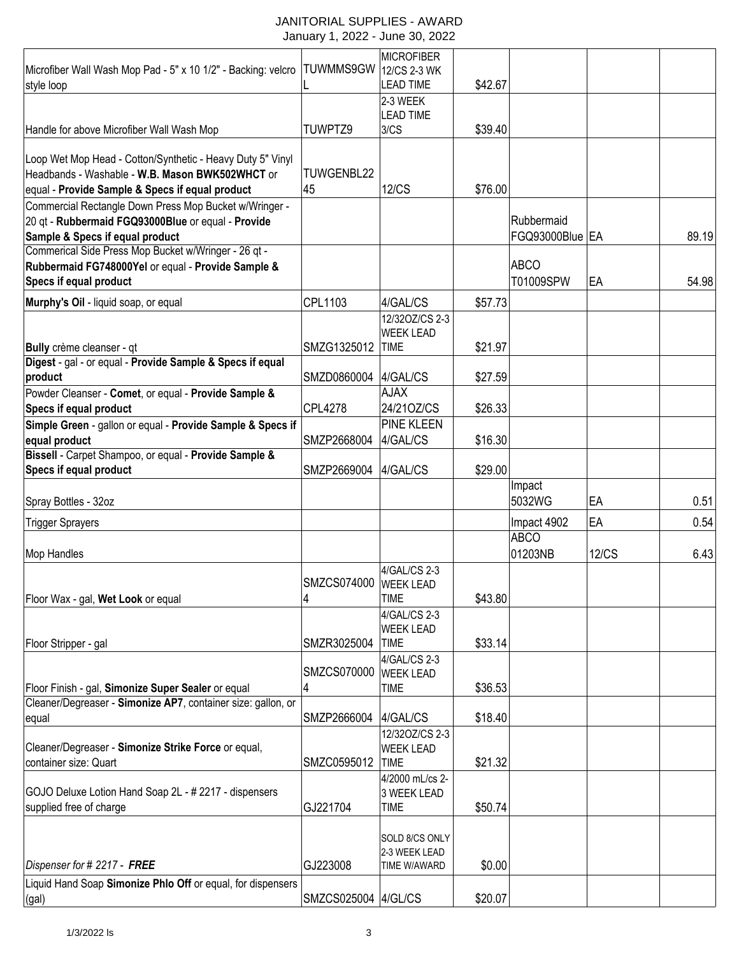#### JANITORIAL SUPPLIES - AWARD January 1, 2022 - June 30, 2022

| Microfiber Wall Wash Mop Pad - 5" x 10 1/2" - Backing: velcro | TUWMMS9GW           | <b>MICROFIBER</b><br>12/CS 2-3 WK  |         |                 |              |       |
|---------------------------------------------------------------|---------------------|------------------------------------|---------|-----------------|--------------|-------|
| style loop                                                    |                     | <b>LEAD TIME</b>                   | \$42.67 |                 |              |       |
|                                                               |                     | 2-3 WEEK                           |         |                 |              |       |
|                                                               |                     | <b>LEAD TIME</b>                   |         |                 |              |       |
| Handle for above Microfiber Wall Wash Mop                     | TUWPTZ9             | 3/CS                               | \$39.40 |                 |              |       |
| Loop Wet Mop Head - Cotton/Synthetic - Heavy Duty 5" Vinyl    |                     |                                    |         |                 |              |       |
| Headbands - Washable - W.B. Mason BWK502WHCT or               | TUWGENBL22          |                                    |         |                 |              |       |
| equal - Provide Sample & Specs if equal product               | 45                  | <b>12/CS</b>                       | \$76.00 |                 |              |       |
| Commercial Rectangle Down Press Mop Bucket w/Wringer -        |                     |                                    |         |                 |              |       |
| 20 gt - Rubbermaid FGQ93000Blue or equal - Provide            |                     |                                    |         | Rubbermaid      |              |       |
| Sample & Specs if equal product                               |                     |                                    |         | FGQ93000Blue EA |              | 89.19 |
| Commerical Side Press Mop Bucket w/Wringer - 26 qt -          |                     |                                    |         |                 |              |       |
| Rubbermaid FG748000Yel or equal - Provide Sample &            |                     |                                    |         | <b>ABCO</b>     |              |       |
| Specs if equal product                                        |                     |                                    |         | T01009SPW       | EA           | 54.98 |
|                                                               | CPL1103             | 4/GAL/CS                           |         |                 |              |       |
| Murphy's Oil - liquid soap, or equal                          |                     |                                    | \$57.73 |                 |              |       |
|                                                               |                     | 12/320Z/CS 2-3<br><b>WEEK LEAD</b> |         |                 |              |       |
| Bully crème cleanser - qt                                     | SMZG1325012         | <b>TIME</b>                        | \$21.97 |                 |              |       |
| Digest - gal - or equal - Provide Sample & Specs if equal     |                     |                                    |         |                 |              |       |
| product                                                       | SMZD0860004         | 4/GAL/CS                           | \$27.59 |                 |              |       |
| Powder Cleanser - Comet, or equal - Provide Sample &          |                     | <b>AJAX</b>                        |         |                 |              |       |
| Specs if equal product                                        | <b>CPL4278</b>      | 24/210Z/CS                         | \$26.33 |                 |              |       |
| Simple Green - gallon or equal - Provide Sample & Specs if    |                     | <b>PINE KLEEN</b>                  |         |                 |              |       |
| equal product                                                 | SMZP2668004         | 4/GAL/CS                           | \$16.30 |                 |              |       |
| Bissell - Carpet Shampoo, or equal - Provide Sample &         |                     |                                    |         |                 |              |       |
| Specs if equal product                                        | SMZP2669004         | 4/GAL/CS                           | \$29.00 |                 |              |       |
|                                                               |                     |                                    |         | Impact          |              |       |
| Spray Bottles - 32oz                                          |                     |                                    |         | 5032WG          | EA           | 0.51  |
|                                                               |                     |                                    |         |                 |              |       |
| <b>Trigger Sprayers</b>                                       |                     |                                    |         | Impact 4902     | EA           | 0.54  |
|                                                               |                     |                                    |         | <b>ABCO</b>     |              |       |
| Mop Handles                                                   |                     |                                    |         | 01203NB         | <b>12/CS</b> | 6.43  |
|                                                               | SMZCS074000         | 4/GAL/CS 2-3                       |         |                 |              |       |
| Floor Wax - gal, Wet Look or equal                            | 4                   | <b>WEEK LEAD</b><br><b>TIME</b>    | \$43.80 |                 |              |       |
|                                                               |                     | 4/GAL/CS 2-3                       |         |                 |              |       |
|                                                               |                     | <b>WEEK LEAD</b>                   |         |                 |              |       |
| Floor Stripper - gal                                          | SMZR3025004         | <b>TIME</b>                        | \$33.14 |                 |              |       |
|                                                               |                     | 4/GAL/CS 2-3                       |         |                 |              |       |
|                                                               | SMZCS070000         | <b>WEEK LEAD</b>                   |         |                 |              |       |
| Floor Finish - gal, Simonize Super Sealer or equal            | 4                   | <b>TIME</b>                        | \$36.53 |                 |              |       |
| Cleaner/Degreaser - Simonize AP7, container size: gallon, or  |                     |                                    |         |                 |              |       |
| equal                                                         | SMZP2666004         | 4/GAL/CS                           | \$18.40 |                 |              |       |
|                                                               |                     | 12/320Z/CS 2-3                     |         |                 |              |       |
| Cleaner/Degreaser - Simonize Strike Force or equal,           |                     | <b>WEEK LEAD</b>                   |         |                 |              |       |
| container size: Quart                                         | SMZC0595012         | <b>TIME</b>                        | \$21.32 |                 |              |       |
|                                                               |                     | 4/2000 mL/cs 2-                    |         |                 |              |       |
| GOJO Deluxe Lotion Hand Soap 2L - # 2217 - dispensers         |                     | 3 WEEK LEAD                        |         |                 |              |       |
| supplied free of charge                                       | GJ221704            | <b>TIME</b>                        | \$50.74 |                 |              |       |
|                                                               |                     |                                    |         |                 |              |       |
|                                                               |                     | SOLD 8/CS ONLY                     |         |                 |              |       |
| Dispenser for # 2217 - FREE                                   | GJ223008            | 2-3 WEEK LEAD<br>TIME W/AWARD      | \$0.00  |                 |              |       |
| Liquid Hand Soap Simonize Phlo Off or equal, for dispensers   |                     |                                    |         |                 |              |       |
| (gal)                                                         | SMZCS025004 4/GL/CS |                                    | \$20.07 |                 |              |       |
|                                                               |                     |                                    |         |                 |              |       |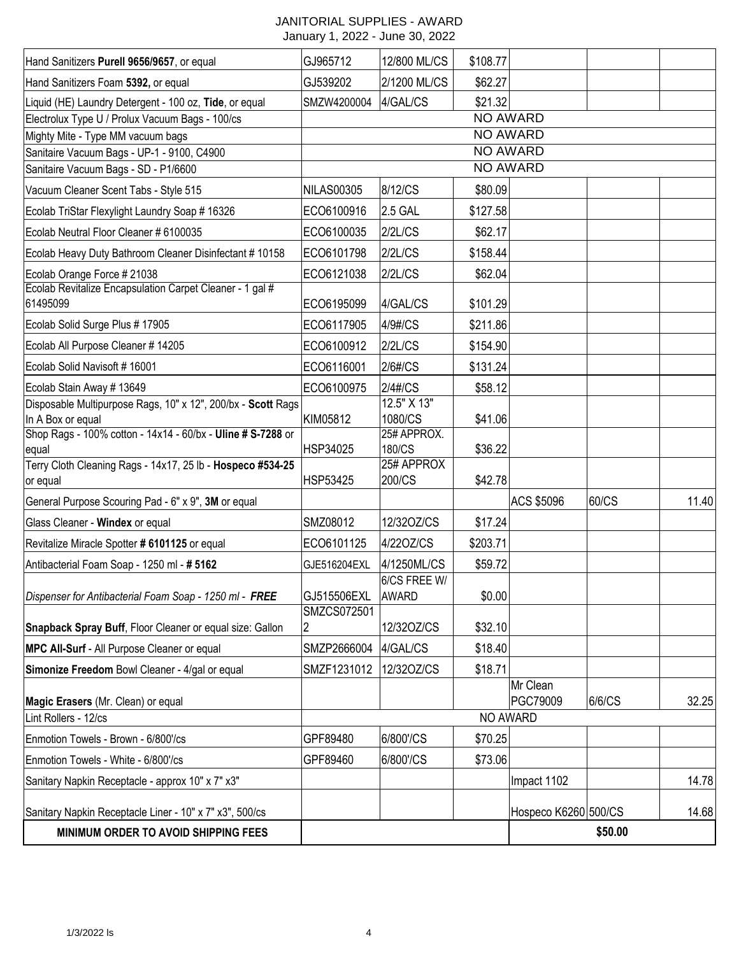# JANITORIAL SUPPLIES - AWARD

| Hand Sanitizers Purell 9656/9657, or equal                           | GJ965712                   | 12/800 ML/CS          | \$108.77 |                      |         |       |
|----------------------------------------------------------------------|----------------------------|-----------------------|----------|----------------------|---------|-------|
| Hand Sanitizers Foam 5392, or equal                                  | GJ539202                   | 2/1200 ML/CS          | \$62.27  |                      |         |       |
| Liquid (HE) Laundry Detergent - 100 oz, Tide, or equal               | SMZW4200004                | 4/GAL/CS              | \$21.32  |                      |         |       |
| Electrolux Type U / Prolux Vacuum Bags - 100/cs                      |                            |                       |          | <b>NO AWARD</b>      |         |       |
| Mighty Mite - Type MM vacuum bags                                    |                            |                       |          | <b>NO AWARD</b>      |         |       |
| Sanitaire Vacuum Bags - UP-1 - 9100, C4900                           |                            |                       |          | <b>NO AWARD</b>      |         |       |
| Sanitaire Vacuum Bags - SD - P1/6600                                 |                            |                       |          | <b>NO AWARD</b>      |         |       |
| Vacuum Cleaner Scent Tabs - Style 515                                | <b>NILAS00305</b>          | 8/12/CS               | \$80.09  |                      |         |       |
| Ecolab TriStar Flexylight Laundry Soap # 16326                       | ECO6100916                 | 2.5 GAL               | \$127.58 |                      |         |       |
| Ecolab Neutral Floor Cleaner # 6100035                               | ECO6100035                 | 2/2L/CS               | \$62.17  |                      |         |       |
| Ecolab Heavy Duty Bathroom Cleaner Disinfectant # 10158              | ECO6101798                 | 2/2L/CS               | \$158.44 |                      |         |       |
| Ecolab Orange Force # 21038                                          | ECO6121038                 | 2/2L/CS               | \$62.04  |                      |         |       |
| Ecolab Revitalize Encapsulation Carpet Cleaner - 1 gal #<br>61495099 | ECO6195099                 | 4/GAL/CS              | \$101.29 |                      |         |       |
| Ecolab Solid Surge Plus # 17905                                      | ECO6117905                 | 4/9#/CS               | \$211.86 |                      |         |       |
| Ecolab All Purpose Cleaner # 14205                                   | ECO6100912                 | 2/2L/CS               | \$154.90 |                      |         |       |
| Ecolab Solid Navisoft #16001                                         | ECO6116001                 | 2/6#/CS               | \$131.24 |                      |         |       |
| Ecolab Stain Away #13649                                             | ECO6100975                 | 2/4#/CS               | \$58.12  |                      |         |       |
| Disposable Multipurpose Rags, 10" x 12", 200/bx - Scott Rags         |                            | $12.5"$ X 13"         |          |                      |         |       |
| In A Box or equal                                                    | KIM05812                   | 1080/CS               | \$41.06  |                      |         |       |
| Shop Rags - 100% cotton - 14x14 - 60/bx - Uline # S-7288 or          | HSP34025                   | 25# APPROX.<br>180/CS |          |                      |         |       |
| lequal<br>Terry Cloth Cleaning Rags - 14x17, 25 lb - Hospeco #534-25 |                            | 25# APPROX            | \$36.22  |                      |         |       |
| or equal                                                             | <b>HSP53425</b>            | 200/CS                | \$42.78  |                      |         |       |
| General Purpose Scouring Pad - 6" x 9", 3M or equal                  |                            |                       |          | ACS \$5096           | 60/CS   | 11.40 |
| Glass Cleaner - Windex or equal                                      | SMZ08012                   | 12/320Z/CS            | \$17.24  |                      |         |       |
| Revitalize Miracle Spotter # 6101125 or equal                        | ECO6101125                 | 4/220Z/CS             | \$203.71 |                      |         |       |
| Antibacterial Foam Soap - 1250 ml - # 5162                           | GJE516204EXL               | 4/1250ML/CS           | \$59.72  |                      |         |       |
|                                                                      |                            | 6/CS FREE W/          |          |                      |         |       |
| Dispenser for Antibacterial Foam Soap - 1250 ml - FREE               | GJ515506EXL<br>SMZCS072501 | <b>AWARD</b>          | \$0.00   |                      |         |       |
| Snapback Spray Buff, Floor Cleaner or equal size: Gallon             | 2                          | 12/32OZ/CS            | \$32.10  |                      |         |       |
| MPC All-Surf - All Purpose Cleaner or equal                          | SMZP2666004                | 4/GAL/CS              | \$18.40  |                      |         |       |
| Simonize Freedom Bowl Cleaner - 4/gal or equal                       | SMZF1231012                | 12/320Z/CS            | \$18.71  |                      |         |       |
|                                                                      |                            |                       |          | Mr Clean             |         |       |
| Magic Erasers (Mr. Clean) or equal                                   |                            |                       |          | PGC79009             | 6/6/CS  | 32.25 |
| Lint Rollers - 12/cs                                                 |                            |                       |          | NO AWARD             |         |       |
| Enmotion Towels - Brown - 6/800'/cs                                  | GPF89480                   | 6/800'/CS             | \$70.25  |                      |         |       |
| Enmotion Towels - White - 6/800'/cs                                  | GPF89460                   | 6/800'/CS             | \$73.06  |                      |         |       |
| Sanitary Napkin Receptacle - approx 10" x 7" x3"                     |                            |                       |          | Impact 1102          |         | 14.78 |
|                                                                      |                            |                       |          |                      |         |       |
| Sanitary Napkin Receptacle Liner - 10" x 7" x3", 500/cs              |                            |                       |          | Hospeco K6260 500/CS |         | 14.68 |
| MINIMUM ORDER TO AVOID SHIPPING FEES                                 |                            |                       |          |                      | \$50.00 |       |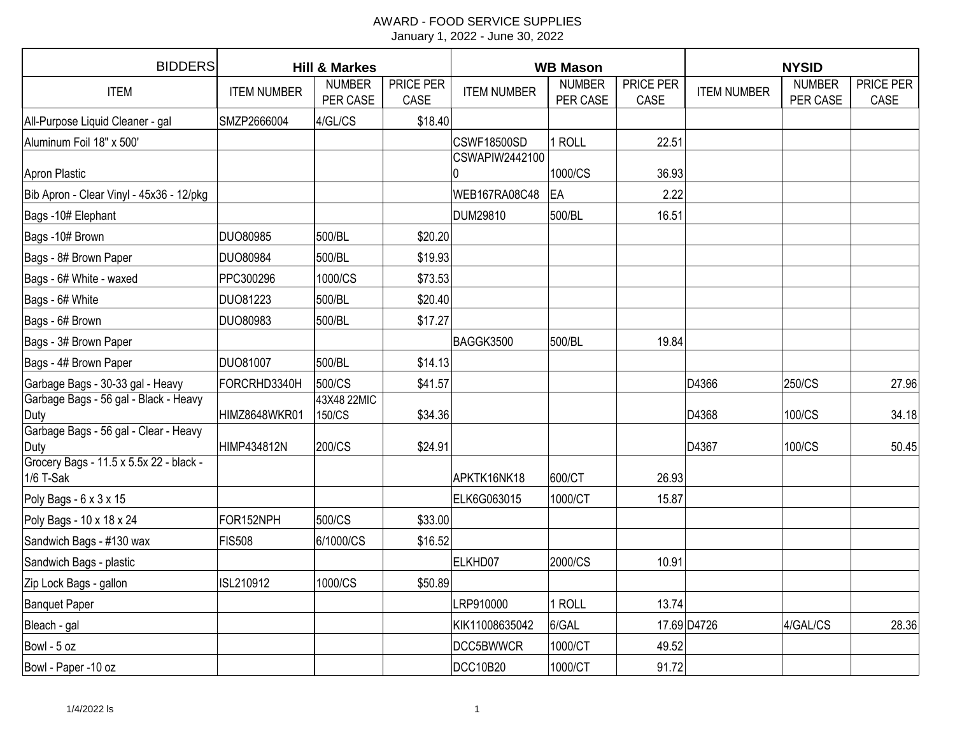| <b>BIDDERS</b>                                         | <b>Hill &amp; Markes</b> |                           |                   |                      | <b>WB Mason</b>           |                   | <b>NYSID</b>       |                           |                   |  |
|--------------------------------------------------------|--------------------------|---------------------------|-------------------|----------------------|---------------------------|-------------------|--------------------|---------------------------|-------------------|--|
| <b>ITEM</b>                                            | <b>ITEM NUMBER</b>       | <b>NUMBER</b><br>PER CASE | PRICE PER<br>CASE | <b>ITEM NUMBER</b>   | <b>NUMBER</b><br>PER CASE | PRICE PER<br>CASE | <b>ITEM NUMBER</b> | <b>NUMBER</b><br>PER CASE | PRICE PER<br>CASE |  |
| All-Purpose Liquid Cleaner - gal                       | SMZP2666004              | 4/GL/CS                   | \$18.40           |                      |                           |                   |                    |                           |                   |  |
| Aluminum Foil 18" x 500'                               |                          |                           |                   | CSWF18500SD          | 1 ROLL                    | 22.51             |                    |                           |                   |  |
| Apron Plastic                                          |                          |                           |                   | CSWAPIW2442100<br>0  | 1000/CS                   | 36.93             |                    |                           |                   |  |
| Bib Apron - Clear Vinyl - 45x36 - 12/pkg               |                          |                           |                   | <b>WEB167RA08C48</b> | <b>EA</b>                 | 2.22              |                    |                           |                   |  |
| Bags -10# Elephant                                     |                          |                           |                   | DUM29810             | 500/BL                    | 16.51             |                    |                           |                   |  |
| Bags -10# Brown                                        | <b>DUO80985</b>          | 500/BL                    | \$20.20           |                      |                           |                   |                    |                           |                   |  |
| Bags - 8# Brown Paper                                  | <b>DUO80984</b>          | 500/BL                    | \$19.93           |                      |                           |                   |                    |                           |                   |  |
| Bags - 6# White - waxed                                | PPC300296                | 1000/CS                   | \$73.53           |                      |                           |                   |                    |                           |                   |  |
| Bags - 6# White                                        | <b>DUO81223</b>          | 500/BL                    | \$20.40           |                      |                           |                   |                    |                           |                   |  |
| Bags - 6# Brown                                        | <b>DUO80983</b>          | 500/BL                    | \$17.27           |                      |                           |                   |                    |                           |                   |  |
| Bags - 3# Brown Paper                                  |                          |                           |                   | BAGGK3500            | 500/BL                    | 19.84             |                    |                           |                   |  |
| Bags - 4# Brown Paper                                  | <b>DUO81007</b>          | 500/BL                    | \$14.13           |                      |                           |                   |                    |                           |                   |  |
| Garbage Bags - 30-33 gal - Heavy                       | FORCRHD3340H             | 500/CS                    | \$41.57           |                      |                           |                   | D4366              | 250/CS                    | 27.96             |  |
| Garbage Bags - 56 gal - Black - Heavy<br>Duty          | HIMZ8648WKR01            | 43X48 22MIC<br>150/CS     | \$34.36           |                      |                           |                   | D4368              | 100/CS                    | 34.18             |  |
| Garbage Bags - 56 gal - Clear - Heavy<br>Duty          | HIMP434812N              | 200/CS                    | \$24.91           |                      |                           |                   | D4367              | 100/CS                    | 50.45             |  |
| Grocery Bags - 11.5 x 5.5x 22 - black -<br>$1/6$ T-Sak |                          |                           |                   | APKTK16NK18          | 600/CT                    | 26.93             |                    |                           |                   |  |
| Poly Bags - 6 x 3 x 15                                 |                          |                           |                   | ELK6G063015          | 1000/CT                   | 15.87             |                    |                           |                   |  |
| Poly Bags - 10 x 18 x 24                               | FOR152NPH                | 500/CS                    | \$33.00           |                      |                           |                   |                    |                           |                   |  |
| Sandwich Bags - #130 wax                               | <b>FIS508</b>            | 6/1000/CS                 | \$16.52           |                      |                           |                   |                    |                           |                   |  |
| Sandwich Bags - plastic                                |                          |                           |                   | ELKHD07              | 2000/CS                   | 10.91             |                    |                           |                   |  |
| Zip Lock Bags - gallon                                 | ISL210912                | 1000/CS                   | \$50.89           |                      |                           |                   |                    |                           |                   |  |
| <b>Banquet Paper</b>                                   |                          |                           |                   | LRP910000            | 1 ROLL                    | 13.74             |                    |                           |                   |  |
| Bleach - gal                                           |                          |                           |                   | KIK11008635042       | 6/GAL                     |                   | 17.69 D4726        | 4/GAL/CS                  | 28.36             |  |
| Bowl - 5 oz                                            |                          |                           |                   | DCC5BWWCR            | 1000/CT                   | 49.52             |                    |                           |                   |  |
| Bowl - Paper -10 oz                                    |                          |                           |                   | DCC10B20             | 1000/CT                   | 91.72             |                    |                           |                   |  |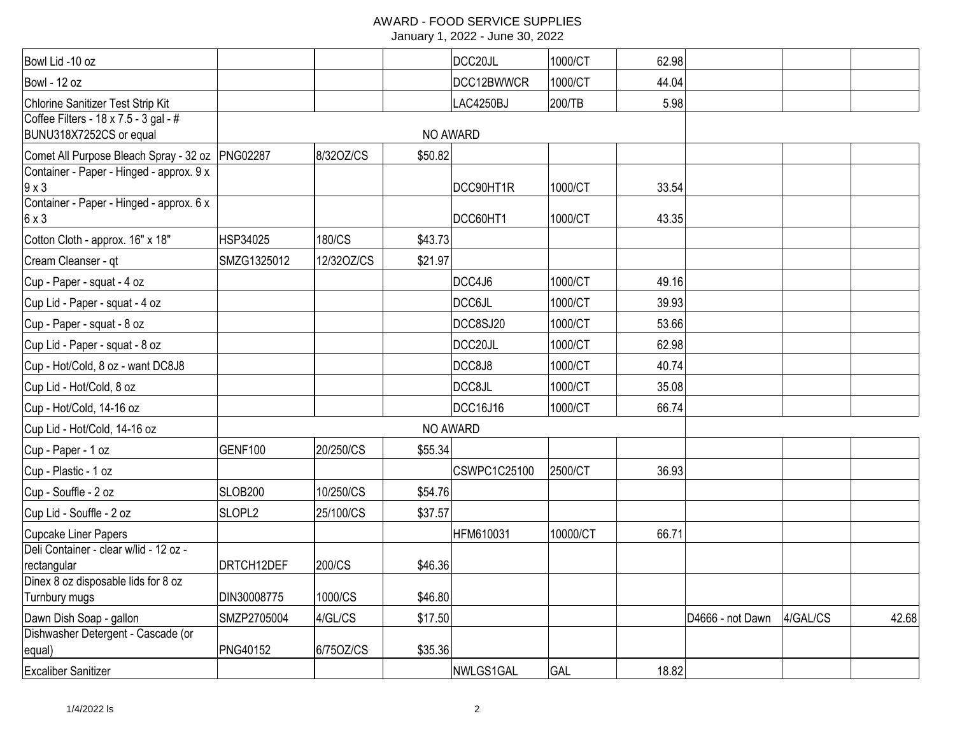| Bowl Lid -10 oz                                                  |                     |            |         | DCC20JL             | 1000/CT  | 62.98 |                  |          |       |
|------------------------------------------------------------------|---------------------|------------|---------|---------------------|----------|-------|------------------|----------|-------|
| Bowl - 12 oz                                                     |                     |            |         | DCC12BWWCR          | 1000/CT  | 44.04 |                  |          |       |
| Chlorine Sanitizer Test Strip Kit                                |                     |            |         | LAC4250BJ           | 200/TB   | 5.98  |                  |          |       |
| Coffee Filters - 18 x 7.5 - 3 gal - #<br>BUNU318X7252CS or equal |                     |            |         | NO AWARD            |          |       |                  |          |       |
| Comet All Purpose Bleach Spray - 32 oz PNG02287                  |                     | 8/320Z/CS  | \$50.82 |                     |          |       |                  |          |       |
| Container - Paper - Hinged - approx. 9 x<br>$9 \times 3$         |                     |            |         | DCC90HT1R           | 1000/CT  | 33.54 |                  |          |       |
| Container - Paper - Hinged - approx. 6 x<br>$6 \times 3$         |                     |            |         | DCC60HT1            | 1000/CT  | 43.35 |                  |          |       |
| Cotton Cloth - approx. 16" x 18"                                 | HSP34025            | 180/CS     | \$43.73 |                     |          |       |                  |          |       |
| Cream Cleanser - qt                                              | SMZG1325012         | 12/32OZ/CS | \$21.97 |                     |          |       |                  |          |       |
| Cup - Paper - squat - 4 oz                                       |                     |            |         | DCC4J6              | 1000/CT  | 49.16 |                  |          |       |
| Cup Lid - Paper - squat - 4 oz                                   |                     |            |         | <b>DCC6JL</b>       | 1000/CT  | 39.93 |                  |          |       |
| Cup - Paper - squat - 8 oz                                       |                     |            |         | DCC8SJ20            | 1000/CT  | 53.66 |                  |          |       |
| Cup Lid - Paper - squat - 8 oz                                   |                     |            |         | DCC20JL             | 1000/CT  | 62.98 |                  |          |       |
| Cup - Hot/Cold, 8 oz - want DC8J8                                |                     |            |         | DCC8J8              | 1000/CT  | 40.74 |                  |          |       |
| Cup Lid - Hot/Cold, 8 oz                                         |                     |            |         | DCC8JL              | 1000/CT  | 35.08 |                  |          |       |
| Cup - Hot/Cold, 14-16 oz                                         |                     |            |         | DCC16J16            | 1000/CT  | 66.74 |                  |          |       |
| Cup Lid - Hot/Cold, 14-16 oz                                     |                     |            |         | NO AWARD            |          |       |                  |          |       |
| Cup - Paper - 1 oz                                               | <b>GENF100</b>      | 20/250/CS  | \$55.34 |                     |          |       |                  |          |       |
| Cup - Plastic - 1 oz                                             |                     |            |         | <b>CSWPC1C25100</b> | 2500/CT  | 36.93 |                  |          |       |
| Cup - Souffle - 2 oz                                             | SLOB <sub>200</sub> | 10/250/CS  | \$54.76 |                     |          |       |                  |          |       |
| Cup Lid - Souffle - 2 oz                                         | SLOPL <sub>2</sub>  | 25/100/CS  | \$37.57 |                     |          |       |                  |          |       |
| Cupcake Liner Papers                                             |                     |            |         | HFM610031           | 10000/CT | 66.71 |                  |          |       |
| Deli Container - clear w/lid - 12 oz -<br>rectangular            | DRTCH12DEF          | 200/CS     | \$46.36 |                     |          |       |                  |          |       |
| Dinex 8 oz disposable lids for 8 oz                              |                     |            |         |                     |          |       |                  |          |       |
| Turnbury mugs                                                    | DIN30008775         | 1000/CS    | \$46.80 |                     |          |       |                  |          |       |
| Dawn Dish Soap - gallon                                          | SMZP2705004         | 4/GL/CS    | \$17.50 |                     |          |       | D4666 - not Dawn | 4/GAL/CS | 42.68 |
| Dishwasher Detergent - Cascade (or                               |                     |            |         |                     |          |       |                  |          |       |
| equal)                                                           | PNG40152            | 6/75OZ/CS  | \$35.36 |                     |          |       |                  |          |       |
| <b>Excaliber Sanitizer</b>                                       |                     |            |         | NWLGS1GAL           | GAL      | 18.82 |                  |          |       |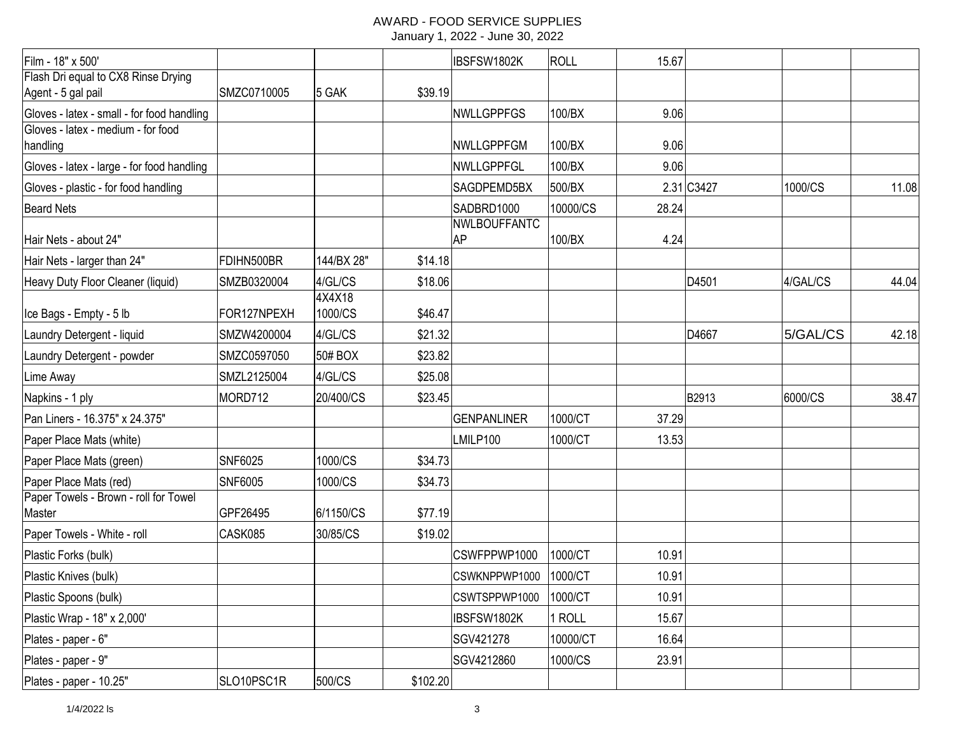| Film - 18" x 500'                                         |                |                   |          | IBSFSW1802K               | ROLL     | 15.67 |            |          |       |
|-----------------------------------------------------------|----------------|-------------------|----------|---------------------------|----------|-------|------------|----------|-------|
| Flash Dri equal to CX8 Rinse Drying<br>Agent - 5 gal pail | SMZC0710005    | 5 GAK             | \$39.19  |                           |          |       |            |          |       |
| Gloves - latex - small - for food handling                |                |                   |          | NWLLGPPFGS                | 100/BX   | 9.06  |            |          |       |
| Gloves - latex - medium - for food<br>handling            |                |                   |          | <b>NWLLGPPFGM</b>         | 100/BX   | 9.06  |            |          |       |
| Gloves - latex - large - for food handling                |                |                   |          | NWLLGPPFGL                | 100/BX   | 9.06  |            |          |       |
| Gloves - plastic - for food handling                      |                |                   |          | SAGDPEMD5BX               | 500/BX   |       | 2.31 C3427 | 1000/CS  | 11.08 |
| <b>Beard Nets</b>                                         |                |                   |          | SADBRD1000                | 10000/CS | 28.24 |            |          |       |
| Hair Nets - about 24"                                     |                |                   |          | NWLBOUFFANTC<br><b>AP</b> | 100/BX   | 4.24  |            |          |       |
| Hair Nets - larger than 24"                               | FDIHN500BR     | 144/BX 28"        | \$14.18  |                           |          |       |            |          |       |
| Heavy Duty Floor Cleaner (liquid)                         | SMZB0320004    | 4/GL/CS           | \$18.06  |                           |          |       | D4501      | 4/GAL/CS | 44.04 |
| Ice Bags - Empty - 5 lb                                   | FOR127NPEXH    | 4X4X18<br>1000/CS | \$46.47  |                           |          |       |            |          |       |
| Laundry Detergent - liquid                                | SMZW4200004    | 4/GL/CS           | \$21.32  |                           |          |       | D4667      | 5/GAL/CS | 42.18 |
| Laundry Detergent - powder                                | SMZC0597050    | 50# BOX           | \$23.82  |                           |          |       |            |          |       |
| Lime Away                                                 | SMZL2125004    | 4/GL/CS           | \$25.08  |                           |          |       |            |          |       |
| Napkins - 1 ply                                           | MORD712        | 20/400/CS         | \$23.45  |                           |          |       | B2913      | 6000/CS  | 38.47 |
| Pan Liners - 16.375" x 24.375"                            |                |                   |          | <b>GENPANLINER</b>        | 1000/CT  | 37.29 |            |          |       |
| Paper Place Mats (white)                                  |                |                   |          | LMILP100                  | 1000/CT  | 13.53 |            |          |       |
| Paper Place Mats (green)                                  | SNF6025        | 1000/CS           | \$34.73  |                           |          |       |            |          |       |
| Paper Place Mats (red)                                    | <b>SNF6005</b> | 1000/CS           | \$34.73  |                           |          |       |            |          |       |
| Paper Towels - Brown - roll for Towel<br>Master           | GPF26495       | 6/1150/CS         | \$77.19  |                           |          |       |            |          |       |
| Paper Towels - White - roll                               | CASK085        | 30/85/CS          | \$19.02  |                           |          |       |            |          |       |
| Plastic Forks (bulk)                                      |                |                   |          | CSWFPPWP1000              | 1000/CT  | 10.91 |            |          |       |
| Plastic Knives (bulk)                                     |                |                   |          | CSWKNPPWP1000             | 1000/CT  | 10.91 |            |          |       |
| Plastic Spoons (bulk)                                     |                |                   |          | CSWTSPPWP1000             | 1000/CT  | 10.91 |            |          |       |
| Plastic Wrap - 18" x 2,000'                               |                |                   |          | IBSFSW1802K               | 1 ROLL   | 15.67 |            |          |       |
| Plates - paper - 6"                                       |                |                   |          | SGV421278                 | 10000/CT | 16.64 |            |          |       |
| Plates - paper - 9"                                       |                |                   |          | SGV4212860                | 1000/CS  | 23.91 |            |          |       |
| Plates - paper - 10.25"                                   | SLO10PSC1R     | 500/CS            | \$102.20 |                           |          |       |            |          |       |